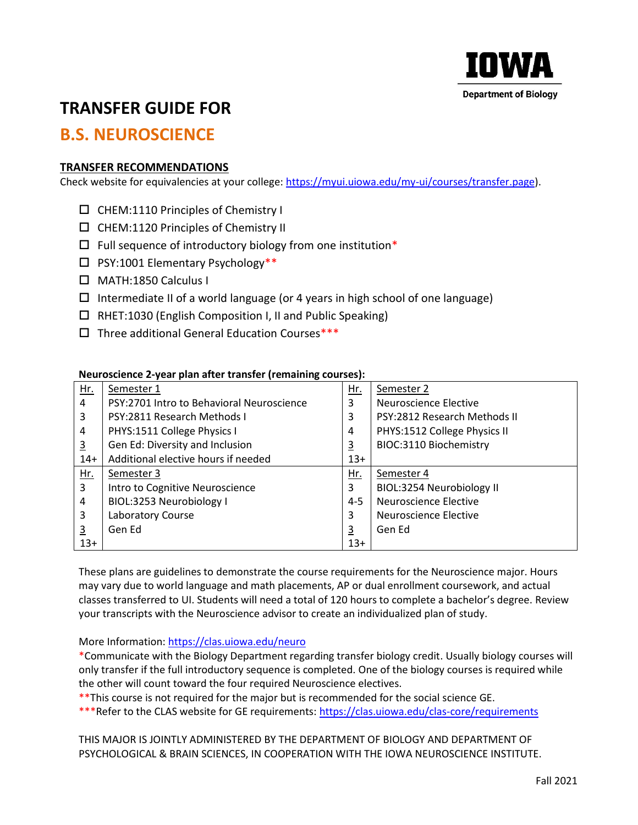

## **TRANSFER GUIDE FOR**

### **B.S. NEUROSCIENCE**

#### **TRANSFER RECOMMENDATIONS**

Check website for equivalencies at your college: [https://myui.uiowa.edu/my-ui/courses/transfer.page\)](https://myui.uiowa.edu/my-ui/courses/transfer.page).

- $\square$  CHEM:1110 Principles of Chemistry I
- $\square$  CHEM:1120 Principles of Chemistry II
- $\Box$  Full sequence of introductory biology from one institution\*
- $\square$  PSY:1001 Elementary Psychology\*\*
- MATH:1850 Calculus I
- $\Box$  Intermediate II of a world language (or 4 years in high school of one language)
- $\Box$  RHET:1030 (English Composition I, II and Public Speaking)
- $\square$  Three additional General Education Courses\*\*\*

#### **Neuroscience 2-year plan after transfer (remaining courses):**

| Hr.            | Semester 1                                | <u>Hr.</u>     | Semester 2                   |
|----------------|-------------------------------------------|----------------|------------------------------|
| 4              | PSY:2701 Intro to Behavioral Neuroscience | 3              | Neuroscience Elective        |
| 3              | PSY:2811 Research Methods I               | 3              | PSY:2812 Research Methods II |
| 4              | PHYS:1511 College Physics I               | 4              | PHYS:1512 College Physics II |
| $\overline{3}$ | Gen Ed: Diversity and Inclusion           | $\overline{3}$ | BIOC:3110 Biochemistry       |
| $14+$          | Additional elective hours if needed       | $13+$          |                              |
| <u>Hr.</u>     | Semester 3                                | Hr.            | Semester 4                   |
| 3              | Intro to Cognitive Neuroscience           | 3              | BIOL:3254 Neurobiology II    |
| 4              | BIOL:3253 Neurobiology I                  | $4 - 5$        | <b>Neuroscience Elective</b> |
| 3              | Laboratory Course                         | 3              | <b>Neuroscience Elective</b> |
| $\overline{3}$ | Gen Ed                                    | $\overline{3}$ | Gen Ed                       |
| $13+$          |                                           | $13+$          |                              |

These plans are guidelines to demonstrate the course requirements for the Neuroscience major. Hours may vary due to world language and math placements, AP or dual enrollment coursework, and actual classes transferred to UI. Students will need a total of 120 hours to complete a bachelor's degree. Review your transcripts with the Neuroscience advisor to create an individualized plan of study.

More Information:<https://clas.uiowa.edu/neuro>

\*Communicate with the Biology Department regarding transfer biology credit. Usually biology courses will only transfer if the full introductory sequence is completed. One of the biology courses is required while the other will count toward the four required Neuroscience electives.

\*\*This course is not required for the major but is recommended for the social science GE.

\*\*\*Refer to the CLAS website for GE requirements:<https://clas.uiowa.edu/clas-core/requirements>

THIS MAJOR IS JOINTLY ADMINISTERED BY THE DEPARTMENT OF BIOLOGY AND DEPARTMENT OF PSYCHOLOGICAL & BRAIN SCIENCES, IN COOPERATION WITH THE IOWA NEUROSCIENCE INSTITUTE.